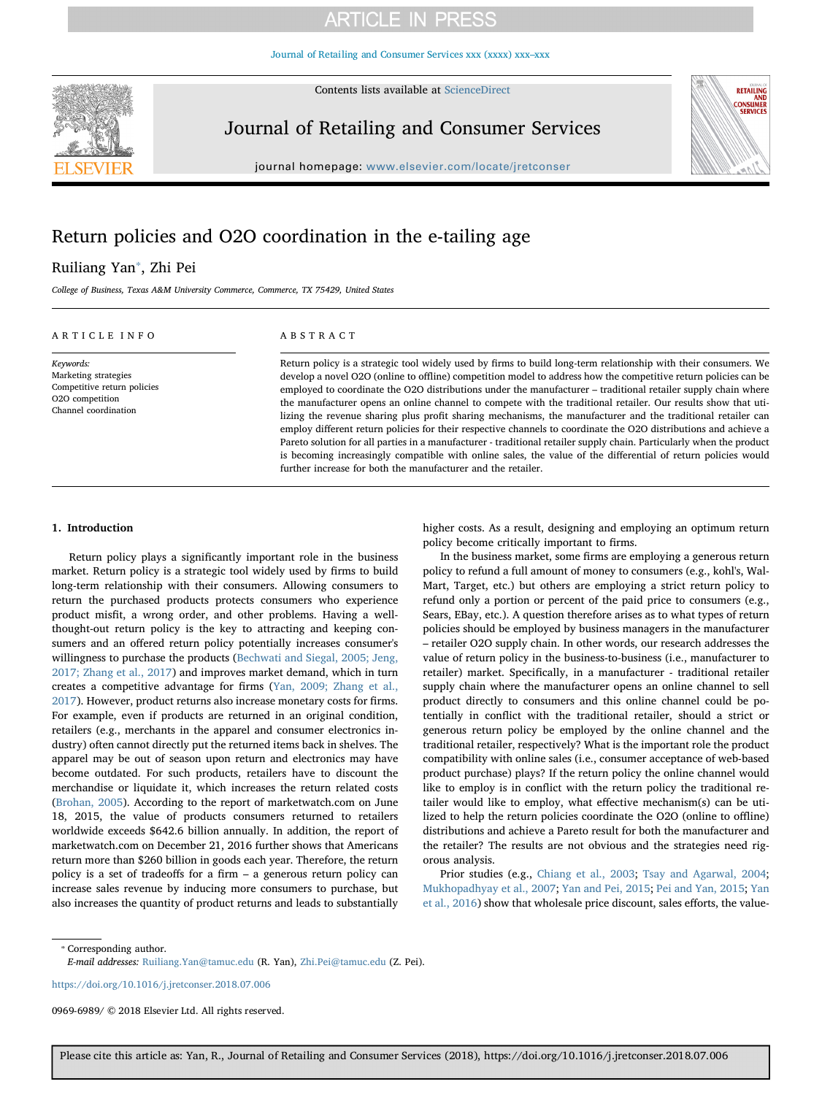# **ARTICLE IN PRESS**

[Journal of Retailing and Consumer Services xxx \(xxxx\) xxx–xxx](https://doi.org/10.1016/j.jretconser.2018.07.006)

Contents lists available at [ScienceDirect](http://www.sciencedirect.com/science/journal/09696989)



Journal of Retailing and Consumer Services



journal homepage: [www.elsevier.com/locate/jretconser](https://www.elsevier.com/locate/jretconser)

# Return policies and O2O coordination in the e-tailing age

# Ruiliang Yan[⁎](#page-0-0) , Zhi Pei

College of Business, Texas A&M University Commerce, Commerce, TX 75429, United States

# ARTICLE INFO

Keywords: Marketing strategies Competitive return policies O2O competition Channel coordination

# ABSTRACT

Return policy is a strategic tool widely used by firms to build long-term relationship with their consumers. We develop a novel O2O (online to offline) competition model to address how the competitive return policies can be employed to coordinate the O2O distributions under the manufacturer – traditional retailer supply chain where the manufacturer opens an online channel to compete with the traditional retailer. Our results show that utilizing the revenue sharing plus profit sharing mechanisms, the manufacturer and the traditional retailer can employ different return policies for their respective channels to coordinate the O2O distributions and achieve a Pareto solution for all parties in a manufacturer - traditional retailer supply chain. Particularly when the product is becoming increasingly compatible with online sales, the value of the differential of return policies would further increase for both the manufacturer and the retailer.

#### 1. Introduction

Return policy plays a significantly important role in the business market. Return policy is a strategic tool widely used by firms to build long-term relationship with their consumers. Allowing consumers to return the purchased products protects consumers who experience product misfit, a wrong order, and other problems. Having a wellthought-out return policy is the key to attracting and keeping consumers and an offered return policy potentially increases consumer's willingness to purchase the products ([Bechwati and Siegal, 2005; Jeng,](#page-7-0) [2017; Zhang et al., 2017\)](#page-7-0) and improves market demand, which in turn creates a competitive advantage for firms [\(Yan, 2009; Zhang et al.,](#page-7-1) [2017\)](#page-7-1). However, product returns also increase monetary costs for firms. For example, even if products are returned in an original condition, retailers (e.g., merchants in the apparel and consumer electronics industry) often cannot directly put the returned items back in shelves. The apparel may be out of season upon return and electronics may have become outdated. For such products, retailers have to discount the merchandise or liquidate it, which increases the return related costs ([Brohan, 2005](#page-7-2)). According to the report of marketwatch.com on June 18, 2015, the value of products consumers returned to retailers worldwide exceeds \$642.6 billion annually. In addition, the report of marketwatch.com on December 21, 2016 further shows that Americans return more than \$260 billion in goods each year. Therefore, the return policy is a set of tradeoffs for a firm – a generous return policy can increase sales revenue by inducing more consumers to purchase, but also increases the quantity of product returns and leads to substantially

higher costs. As a result, designing and employing an optimum return policy become critically important to firms.

In the business market, some firms are employing a generous return policy to refund a full amount of money to consumers (e.g., kohl's, Wal-Mart, Target, etc.) but others are employing a strict return policy to refund only a portion or percent of the paid price to consumers (e.g., Sears, EBay, etc.). A question therefore arises as to what types of return policies should be employed by business managers in the manufacturer – retailer O2O supply chain. In other words, our research addresses the value of return policy in the business-to-business (i.e., manufacturer to retailer) market. Specifically, in a manufacturer - traditional retailer supply chain where the manufacturer opens an online channel to sell product directly to consumers and this online channel could be potentially in conflict with the traditional retailer, should a strict or generous return policy be employed by the online channel and the traditional retailer, respectively? What is the important role the product compatibility with online sales (i.e., consumer acceptance of web-based product purchase) plays? If the return policy the online channel would like to employ is in conflict with the return policy the traditional retailer would like to employ, what effective mechanism(s) can be utilized to help the return policies coordinate the O2O (online to offline) distributions and achieve a Pareto result for both the manufacturer and the retailer? The results are not obvious and the strategies need rigorous analysis.

Prior studies (e.g., [Chiang et al., 2003](#page-7-3); [Tsay and Agarwal, 2004](#page-7-4); [Mukhopadhyay et al., 2007](#page-7-5); [Yan and Pei, 2015](#page-7-6); [Pei and Yan, 2015;](#page-7-7) [Yan](#page-7-8) [et al., 2016\)](#page-7-8) show that wholesale price discount, sales efforts, the value-

<span id="page-0-0"></span>⁎ Corresponding author.

E-mail addresses: [Ruiliang.Yan@tamuc.edu](mailto:Ruiliang.Yan@tamuc.edu) (R. Yan), [Zhi.Pei@tamuc.edu](mailto:Zhi.Pei@tamuc.edu) (Z. Pei).

<https://doi.org/10.1016/j.jretconser.2018.07.006>

0969-6989/ © 2018 Elsevier Ltd. All rights reserved.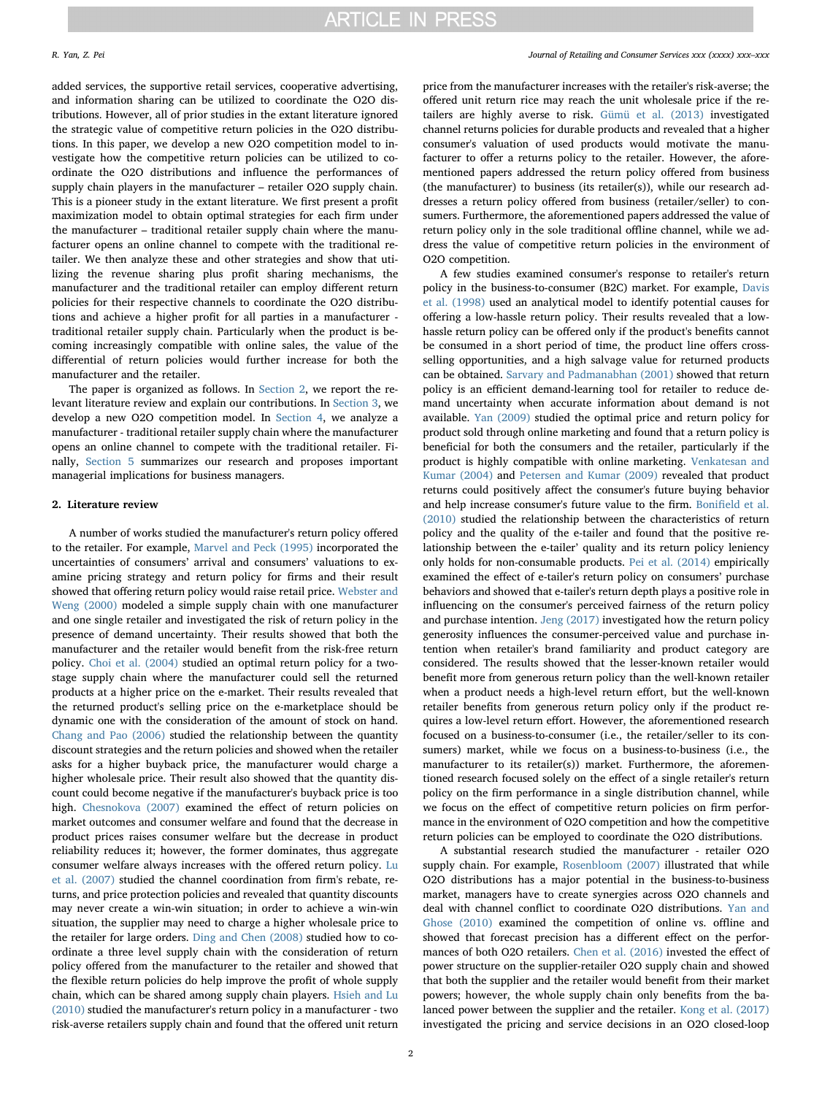added services, the supportive retail services, cooperative advertising, and information sharing can be utilized to coordinate the O2O distributions. However, all of prior studies in the extant literature ignored the strategic value of competitive return policies in the O2O distributions. In this paper, we develop a new O2O competition model to investigate how the competitive return policies can be utilized to coordinate the O2O distributions and influence the performances of supply chain players in the manufacturer – retailer O2O supply chain. This is a pioneer study in the extant literature. We first present a profit maximization model to obtain optimal strategies for each firm under the manufacturer – traditional retailer supply chain where the manufacturer opens an online channel to compete with the traditional retailer. We then analyze these and other strategies and show that utilizing the revenue sharing plus profit sharing mechanisms, the manufacturer and the traditional retailer can employ different return policies for their respective channels to coordinate the O2O distributions and achieve a higher profit for all parties in a manufacturer traditional retailer supply chain. Particularly when the product is becoming increasingly compatible with online sales, the value of the differential of return policies would further increase for both the manufacturer and the retailer.

The paper is organized as follows. In [Section 2](#page-1-0), we report the relevant literature review and explain our contributions. In [Section 3,](#page-2-0) we develop a new O2O competition model. In [Section 4](#page-3-0), we analyze a manufacturer - traditional retailer supply chain where the manufacturer opens an online channel to compete with the traditional retailer. Finally, [Section 5](#page-5-0) summarizes our research and proposes important managerial implications for business managers.

## <span id="page-1-0"></span>2. Literature review

A number of works studied the manufacturer's return policy offered to the retailer. For example, [Marvel and Peck \(1995\)](#page-7-9) incorporated the uncertainties of consumers' arrival and consumers' valuations to examine pricing strategy and return policy for firms and their result showed that offering return policy would raise retail price. [Webster and](#page-7-10) [Weng \(2000\)](#page-7-10) modeled a simple supply chain with one manufacturer and one single retailer and investigated the risk of return policy in the presence of demand uncertainty. Their results showed that both the manufacturer and the retailer would benefit from the risk-free return policy. [Choi et al. \(2004\)](#page-7-11) studied an optimal return policy for a twostage supply chain where the manufacturer could sell the returned products at a higher price on the e-market. Their results revealed that the returned product's selling price on the e-marketplace should be dynamic one with the consideration of the amount of stock on hand. [Chang and Pao \(2006\)](#page-7-12) studied the relationship between the quantity discount strategies and the return policies and showed when the retailer asks for a higher buyback price, the manufacturer would charge a higher wholesale price. Their result also showed that the quantity discount could become negative if the manufacturer's buyback price is too high. [Chesnokova \(2007\)](#page-7-13) examined the effect of return policies on market outcomes and consumer welfare and found that the decrease in product prices raises consumer welfare but the decrease in product reliability reduces it; however, the former dominates, thus aggregate consumer welfare always increases with the offered return policy. [Lu](#page-7-14) [et al. \(2007\)](#page-7-14) studied the channel coordination from firm's rebate, returns, and price protection policies and revealed that quantity discounts may never create a win-win situation; in order to achieve a win-win situation, the supplier may need to charge a higher wholesale price to the retailer for large orders. [Ding and Chen \(2008\)](#page-7-15) studied how to coordinate a three level supply chain with the consideration of return policy offered from the manufacturer to the retailer and showed that the flexible return policies do help improve the profit of whole supply chain, which can be shared among supply chain players. [Hsieh and Lu](#page-7-16) [\(2010\)](#page-7-16) studied the manufacturer's return policy in a manufacturer - two risk-averse retailers supply chain and found that the offered unit return

price from the manufacturer increases with the retailer's risk-averse; the offered unit return rice may reach the unit wholesale price if the retailers are highly averse to risk. [Gümü et al. \(2013\)](#page-7-17) investigated channel returns policies for durable products and revealed that a higher consumer's valuation of used products would motivate the manufacturer to offer a returns policy to the retailer. However, the aforementioned papers addressed the return policy offered from business (the manufacturer) to business (its retailer(s)), while our research addresses a return policy offered from business (retailer/seller) to consumers. Furthermore, the aforementioned papers addressed the value of return policy only in the sole traditional offline channel, while we address the value of competitive return policies in the environment of O2O competition.

A few studies examined consumer's response to retailer's return policy in the business-to-consumer (B2C) market. For example, [Davis](#page-7-18) [et al. \(1998\)](#page-7-18) used an analytical model to identify potential causes for offering a low-hassle return policy. Their results revealed that a lowhassle return policy can be offered only if the product's benefits cannot be consumed in a short period of time, the product line offers crossselling opportunities, and a high salvage value for returned products can be obtained. [Sarvary and Padmanabhan \(2001\)](#page-7-19) showed that return policy is an efficient demand-learning tool for retailer to reduce demand uncertainty when accurate information about demand is not available. [Yan \(2009\)](#page-7-1) studied the optimal price and return policy for product sold through online marketing and found that a return policy is beneficial for both the consumers and the retailer, particularly if the product is highly compatible with online marketing. [Venkatesan and](#page-7-20) [Kumar \(2004\)](#page-7-20) and [Petersen and Kumar \(2009\)](#page-7-21) revealed that product returns could positively affect the consumer's future buying behavior and help increase consumer's future value to the firm. Bonifi[eld et al.](#page-7-22) [\(2010\)](#page-7-22) studied the relationship between the characteristics of return policy and the quality of the e-tailer and found that the positive relationship between the e-tailer' quality and its return policy leniency only holds for non-consumable products. [Pei et al. \(2014\)](#page-7-23) empirically examined the effect of e-tailer's return policy on consumers' purchase behaviors and showed that e-tailer's return depth plays a positive role in influencing on the consumer's perceived fairness of the return policy and purchase intention. [Jeng \(2017\)](#page-7-24) investigated how the return policy generosity influences the consumer-perceived value and purchase intention when retailer's brand familiarity and product category are considered. The results showed that the lesser-known retailer would benefit more from generous return policy than the well-known retailer when a product needs a high-level return effort, but the well-known retailer benefits from generous return policy only if the product requires a low-level return effort. However, the aforementioned research focused on a business-to-consumer (i.e., the retailer/seller to its consumers) market, while we focus on a business-to-business (i.e., the manufacturer to its retailer(s)) market. Furthermore, the aforementioned research focused solely on the effect of a single retailer's return policy on the firm performance in a single distribution channel, while we focus on the effect of competitive return policies on firm performance in the environment of O2O competition and how the competitive return policies can be employed to coordinate the O2O distributions.

A substantial research studied the manufacturer - retailer O2O supply chain. For example, [Rosenbloom \(2007\)](#page-7-25) illustrated that while O2O distributions has a major potential in the business-to-business market, managers have to create synergies across O2O channels and deal with channel conflict to coordinate O2O distributions. [Yan and](#page-7-26) [Ghose \(2010\)](#page-7-26) examined the competition of online vs. offline and showed that forecast precision has a different effect on the performances of both O2O retailers. [Chen et al. \(2016\)](#page-7-27) invested the effect of power structure on the supplier-retailer O2O supply chain and showed that both the supplier and the retailer would benefit from their market powers; however, the whole supply chain only benefits from the balanced power between the supplier and the retailer. [Kong et al. \(2017\)](#page-7-28) investigated the pricing and service decisions in an O2O closed-loop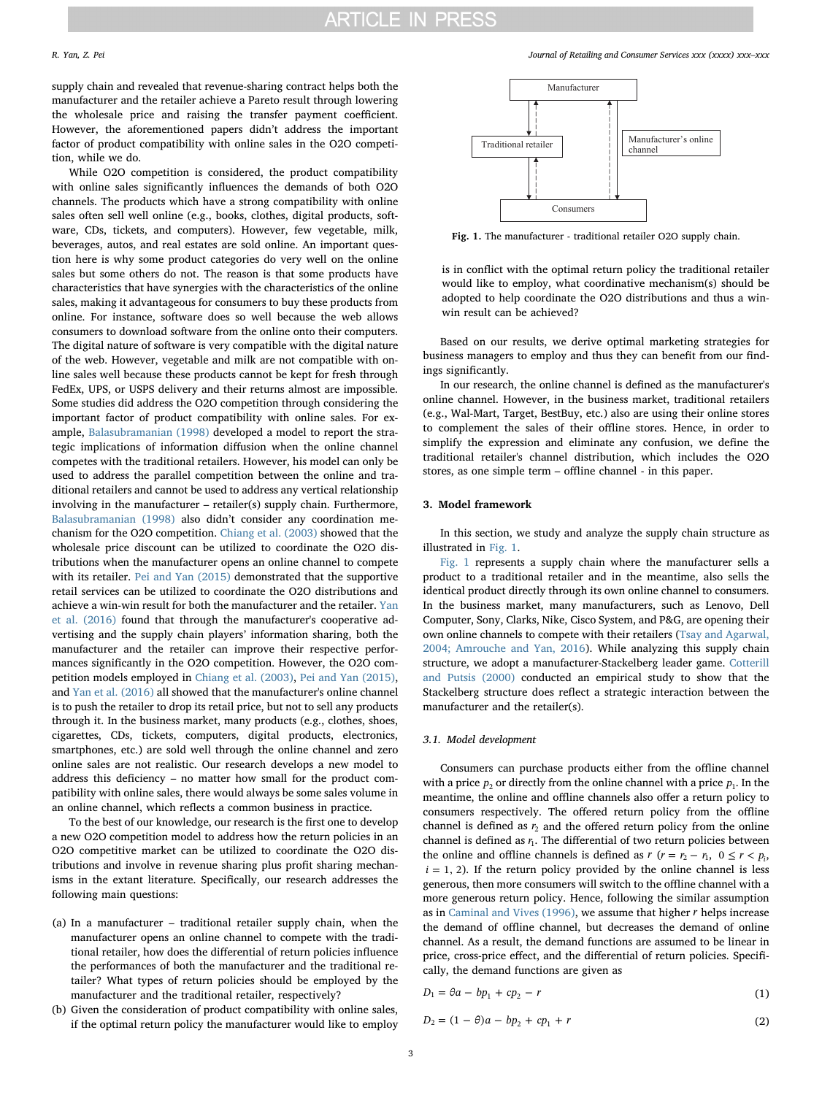supply chain and revealed that revenue-sharing contract helps both the manufacturer and the retailer achieve a Pareto result through lowering the wholesale price and raising the transfer payment coefficient. However, the aforementioned papers didn't address the important factor of product compatibility with online sales in the O2O competition, while we do.

While O2O competition is considered, the product compatibility with online sales significantly influences the demands of both O2O channels. The products which have a strong compatibility with online sales often sell well online (e.g., books, clothes, digital products, software, CDs, tickets, and computers). However, few vegetable, milk, beverages, autos, and real estates are sold online. An important question here is why some product categories do very well on the online sales but some others do not. The reason is that some products have characteristics that have synergies with the characteristics of the online sales, making it advantageous for consumers to buy these products from online. For instance, software does so well because the web allows consumers to download software from the online onto their computers. The digital nature of software is very compatible with the digital nature of the web. However, vegetable and milk are not compatible with online sales well because these products cannot be kept for fresh through FedEx, UPS, or USPS delivery and their returns almost are impossible. Some studies did address the O2O competition through considering the important factor of product compatibility with online sales. For example, [Balasubramanian \(1998\)](#page-7-29) developed a model to report the strategic implications of information diffusion when the online channel competes with the traditional retailers. However, his model can only be used to address the parallel competition between the online and traditional retailers and cannot be used to address any vertical relationship involving in the manufacturer – retailer(s) supply chain. Furthermore, [Balasubramanian \(1998\)](#page-7-29) also didn't consider any coordination mechanism for the O2O competition. [Chiang et al. \(2003\)](#page-7-3) showed that the wholesale price discount can be utilized to coordinate the O2O distributions when the manufacturer opens an online channel to compete with its retailer. [Pei and Yan \(2015\)](#page-7-7) demonstrated that the supportive retail services can be utilized to coordinate the O2O distributions and achieve a win-win result for both the manufacturer and the retailer. [Yan](#page-7-8) [et al. \(2016\)](#page-7-8) found that through the manufacturer's cooperative advertising and the supply chain players' information sharing, both the manufacturer and the retailer can improve their respective performances significantly in the O2O competition. However, the O2O competition models employed in [Chiang et al. \(2003\),](#page-7-3) [Pei and Yan \(2015\)](#page-7-7), and [Yan et al. \(2016\)](#page-7-8) all showed that the manufacturer's online channel is to push the retailer to drop its retail price, but not to sell any products through it. In the business market, many products (e.g., clothes, shoes, cigarettes, CDs, tickets, computers, digital products, electronics, smartphones, etc.) are sold well through the online channel and zero online sales are not realistic. Our research develops a new model to address this deficiency – no matter how small for the product compatibility with online sales, there would always be some sales volume in an online channel, which reflects a common business in practice.

To the best of our knowledge, our research is the first one to develop a new O2O competition model to address how the return policies in an O2O competitive market can be utilized to coordinate the O2O distributions and involve in revenue sharing plus profit sharing mechanisms in the extant literature. Specifically, our research addresses the following main questions:

- (a) In a manufacturer traditional retailer supply chain, when the manufacturer opens an online channel to compete with the traditional retailer, how does the differential of return policies influence the performances of both the manufacturer and the traditional retailer? What types of return policies should be employed by the manufacturer and the traditional retailer, respectively?
- (b) Given the consideration of product compatibility with online sales, if the optimal return policy the manufacturer would like to employ

R. Yan, Z. Pei *Journal of Retailing and Consumer Services xxx (xxxx) xxx–xxx*

<span id="page-2-1"></span>

Fig. 1. The manufacturer - traditional retailer O2O supply chain.

is in conflict with the optimal return policy the traditional retailer would like to employ, what coordinative mechanism(s) should be adopted to help coordinate the O2O distributions and thus a winwin result can be achieved?

Based on our results, we derive optimal marketing strategies for business managers to employ and thus they can benefit from our findings significantly.

In our research, the online channel is defined as the manufacturer's online channel. However, in the business market, traditional retailers (e.g., Wal-Mart, Target, BestBuy, etc.) also are using their online stores to complement the sales of their offline stores. Hence, in order to simplify the expression and eliminate any confusion, we define the traditional retailer's channel distribution, which includes the O2O stores, as one simple term – offline channel - in this paper.

### <span id="page-2-0"></span>3. Model framework

In this section, we study and analyze the supply chain structure as illustrated in [Fig. 1.](#page-2-1)

[Fig. 1](#page-2-1) represents a supply chain where the manufacturer sells a product to a traditional retailer and in the meantime, also sells the identical product directly through its own online channel to consumers. In the business market, many manufacturers, such as Lenovo, Dell Computer, Sony, Clarks, Nike, Cisco System, and P&G, are opening their own online channels to compete with their retailers ([Tsay and Agarwal,](#page-7-4) [2004; Amrouche and Yan, 2016](#page-7-4)). While analyzing this supply chain structure, we adopt a manufacturer-Stackelberg leader game. [Cotterill](#page-7-30) [and Putsis \(2000\)](#page-7-30) conducted an empirical study to show that the Stackelberg structure does reflect a strategic interaction between the manufacturer and the retailer(s).

#### 3.1. Model development

Consumers can purchase products either from the offline channel with a price  $p_2$  or directly from the online channel with a price  $p_1$ . In the meantime, the online and offline channels also offer a return policy to consumers respectively. The offered return policy from the offline channel is defined as  $r_2$  and the offered return policy from the online channel is defined as  $r_1$ . The differential of two return policies between the online and offline channels is defined as  $r$  ( $r = r_2 - r_1$ ,  $0 \le r < p_i$ )  $i = 1, 2$ ). If the return policy provided by the online channel is less generous, then more consumers will switch to the offline channel with a more generous return policy. Hence, following the similar assumption as in [Caminal and Vives \(1996\),](#page-7-31) we assume that higher *r* helps increase the demand of offline channel, but decreases the demand of online channel. As a result, the demand functions are assumed to be linear in price, cross-price effect, and the differential of return policies. Specifically, the demand functions are given as

$$
D_1 = \theta a - b p_1 + c p_2 - r \tag{1}
$$

$$
D_2 = (1 - \theta)a - bp_2 + cp_1 + r \tag{2}
$$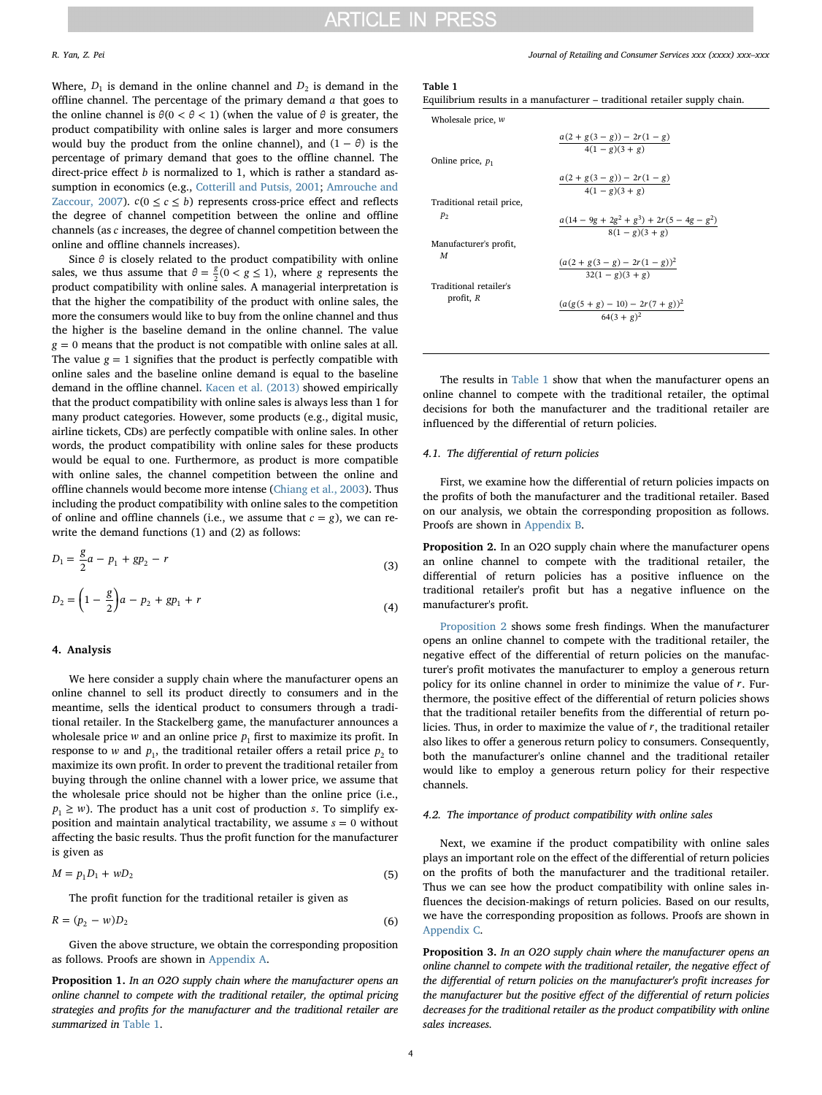Where,  $D_1$  is demand in the online channel and  $D_2$  is demand in the offline channel. The percentage of the primary demand *a* that goes to the online channel is  $\theta(0 < \theta < 1)$  (when the value of  $\theta$  is greater, the product compatibility with online sales is larger and more consumers would buy the product from the online channel), and  $(1 - \theta)$  is the percentage of primary demand that goes to the offline channel. The direct-price effect *b* is normalized to 1, which is rather a standard assumption in economics (e.g., [Cotterill and Putsis, 2001](#page-7-32); [Amrouche and](#page-7-33) [Zaccour, 2007](#page-7-33)).  $c(0 \le c \le b)$  represents cross-price effect and reflects the degree of channel competition between the online and offline channels (as *c* increases, the degree of channel competition between the online and offline channels increases).

Since  $\theta$  is closely related to the product compatibility with online sales, we thus assume that  $\theta = \frac{g}{2}(0 < g \le 1)$ , where *g* represents the product compatibility with online sales. A managerial interpretation is that the higher the compatibility of the product with online sales, the more the consumers would like to buy from the online channel and thus the higher is the baseline demand in the online channel. The value  $g = 0$  means that the product is not compatible with online sales at all. The value  $g = 1$  signifies that the product is perfectly compatible with online sales and the baseline online demand is equal to the baseline demand in the offline channel. [Kacen et al. \(2013\)](#page-7-34) showed empirically that the product compatibility with online sales is always less than 1 for many product categories. However, some products (e.g., digital music, airline tickets, CDs) are perfectly compatible with online sales. In other words, the product compatibility with online sales for these products would be equal to one. Furthermore, as product is more compatible with online sales, the channel competition between the online and offline channels would become more intense [\(Chiang et al., 2003](#page-7-3)). Thus including the product compatibility with online sales to the competition of online and offline channels (i.e., we assume that  $c = g$ ), we can rewrite the demand functions (1) and (2) as follows:

$$
D_1 = \frac{g}{2}a - p_1 + gp_2 - r \tag{3}
$$

$$
D_2 = \left(1 - \frac{g}{2}\right)a - p_2 + gp_1 + r \tag{4}
$$

#### <span id="page-3-0"></span>4. Analysis

We here consider a supply chain where the manufacturer opens an online channel to sell its product directly to consumers and in the meantime, sells the identical product to consumers through a traditional retailer. In the Stackelberg game, the manufacturer announces a wholesale price  $w$  and an online price  $p_1$  first to maximize its profit. In response to *w* and  $p_1$ , the traditional retailer offers a retail price  $p_2$  to maximize its own profit. In order to prevent the traditional retailer from buying through the online channel with a lower price, we assume that the wholesale price should not be higher than the online price (i.e.,  $p_1 \geq w$ ). The product has a unit cost of production *s*. To simplify exposition and maintain analytical tractability, we assume *s* = 0 without affecting the basic results. Thus the profit function for the manufacturer is given as

<span id="page-3-4"></span>
$$
M = p_1 D_1 + w D_2 \tag{5}
$$

The profit function for the traditional retailer is given as

$$
R = (p_2 - w)D_2 \tag{6}
$$

Given the above structure, we obtain the corresponding proposition as follows. Proofs are shown in [Appendix A](#page-6-0).

Proposition 1. In an O2O supply chain where the manufacturer opens an online channel to compete with the traditional retailer, the optimal pricing strategies and profits for the manufacturer and the traditional retailer are summarized in [Table 1.](#page-3-1)

R. Yan, Z. Pei *Journal of Retailing and Consumer Services xxx (xxxx) xxx–xxx*

# <span id="page-3-1"></span>Table 1

|  |  | Equilibrium results in a manufacturer – traditional retailer supply chain. |  |  |  |  |
|--|--|----------------------------------------------------------------------------|--|--|--|--|
|--|--|----------------------------------------------------------------------------|--|--|--|--|

| Wholesale price, w        |                                                     |
|---------------------------|-----------------------------------------------------|
|                           | $a(2+g(3-g))-2r(1-g)$                               |
|                           | $4(1 - g)(3 + g)$                                   |
| Online price, $p_1$       |                                                     |
|                           | $a(2+g(3-g))-2r(1-g)$                               |
|                           | $4(1 - g)(3 + g)$                                   |
| Traditional retail price, |                                                     |
| p <sub>2</sub>            | $a(14-9g+2g^2+g^3)+2r(5-4g-g^2)$                    |
|                           | $8(1 - g)(3 + g)$                                   |
| Manufacturer's profit,    |                                                     |
| M                         | $(a(2 + g(3 - g) - 2r(1 - g))^2)$                   |
|                           | $32(1 - g)(3 + g)$                                  |
| Traditional retailer's    |                                                     |
| profit, R                 | $(a(g(5 + g) - 10) - 2r(7 + g))^2$<br>$64(3 + g)^2$ |
|                           |                                                     |

The results in [Table 1](#page-3-1) show that when the manufacturer opens an online channel to compete with the traditional retailer, the optimal decisions for both the manufacturer and the traditional retailer are influenced by the differential of return policies.

# 4.1. The differential of return policies

First, we examine how the differential of return policies impacts on the profits of both the manufacturer and the traditional retailer. Based on our analysis, we obtain the corresponding proposition as follows. Proofs are shown in [Appendix B](#page-6-1).

<span id="page-3-2"></span>Proposition 2. In an O2O supply chain where the manufacturer opens an online channel to compete with the traditional retailer, the differential of return policies has a positive influence on the traditional retailer's profit but has a negative influence on the manufacturer's profit.

[Proposition 2](#page-3-2) shows some fresh findings. When the manufacturer opens an online channel to compete with the traditional retailer, the negative effect of the differential of return policies on the manufacturer's profit motivates the manufacturer to employ a generous return policy for its online channel in order to minimize the value of *r*. Furthermore, the positive effect of the differential of return policies shows that the traditional retailer benefits from the differential of return policies. Thus, in order to maximize the value of *r*, the traditional retailer also likes to offer a generous return policy to consumers. Consequently, both the manufacturer's online channel and the traditional retailer would like to employ a generous return policy for their respective channels.

# 4.2. The importance of product compatibility with online sales

Next, we examine if the product compatibility with online sales plays an important role on the effect of the differential of return policies on the profits of both the manufacturer and the traditional retailer. Thus we can see how the product compatibility with online sales influences the decision-makings of return policies. Based on our results, we have the corresponding proposition as follows. Proofs are shown in [Appendix C.](#page-6-2)

<span id="page-3-3"></span>Proposition 3. In an O2O supply chain where the manufacturer opens an online channel to compete with the traditional retailer, the negative effect of the differential of return policies on the manufacturer's profit increases for the manufacturer but the positive effect of the differential of return policies decreases for the traditional retailer as the product compatibility with online sales increases.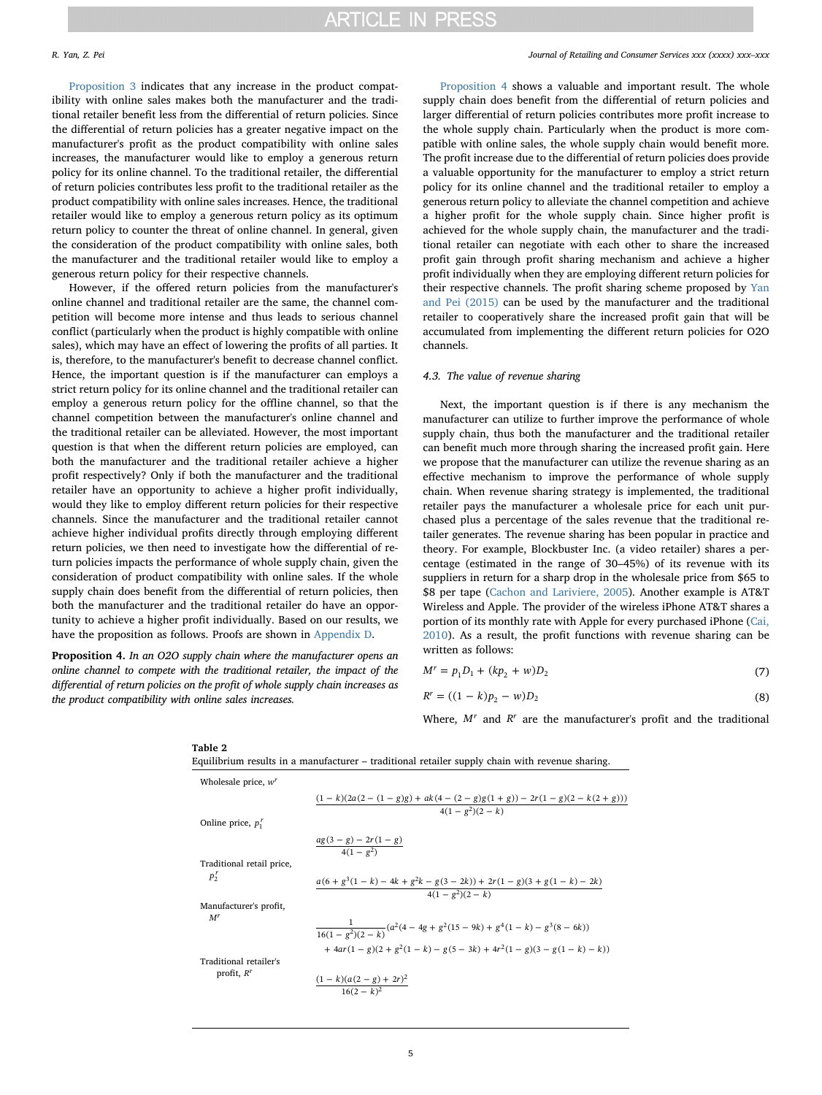[Proposition 3](#page-3-3) indicates that any increase in the product compatibility with online sales makes both the manufacturer and the traditional retailer benefit less from the differential of return policies. Since the differential of return policies has a greater negative impact on the manufacturer's profit as the product compatibility with online sales increases, the manufacturer would like to employ a generous return policy for its online channel. To the traditional retailer, the differential of return policies contributes less profit to the traditional retailer as the product compatibility with online sales increases. Hence, the traditional retailer would like to employ a generous return policy as its optimum return policy to counter the threat of online channel. In general, given the consideration of the product compatibility with online sales, both the manufacturer and the traditional retailer would like to employ a generous return policy for their respective channels.

However, if the offered return policies from the manufacturer's online channel and traditional retailer are the same, the channel competition will become more intense and thus leads to serious channel conflict (particularly when the product is highly compatible with online sales), which may have an effect of lowering the profits of all parties. It is, therefore, to the manufacturer's benefit to decrease channel conflict. Hence, the important question is if the manufacturer can employs a strict return policy for its online channel and the traditional retailer can employ a generous return policy for the offline channel, so that the channel competition between the manufacturer's online channel and the traditional retailer can be alleviated. However, the most important question is that when the different return policies are employed, can both the manufacturer and the traditional retailer achieve a higher profit respectively? Only if both the manufacturer and the traditional retailer have an opportunity to achieve a higher profit individually, would they like to employ different return policies for their respective channels. Since the manufacturer and the traditional retailer cannot achieve higher individual profits directly through employing different return policies, we then need to investigate how the differential of return policies impacts the performance of whole supply chain, given the consideration of product compatibility with online sales. If the whole supply chain does benefit from the differential of return policies, then both the manufacturer and the traditional retailer do have an opportunity to achieve a higher profit individually. Based on our results, we have the proposition as follows. Proofs are shown in [Appendix D.](#page-6-3)

<span id="page-4-0"></span>Proposition 4. In an O2O supply chain where the manufacturer opens an online channel to compete with the traditional retailer, the impact of the differential of return policies on the profit of whole supply chain increases as the product compatibility with online sales increases.

<span id="page-4-1"></span> $T<sub>2</sub>$   $L<sub>1</sub> < 0$ 

[Proposition 4](#page-4-0) shows a valuable and important result. The whole supply chain does benefit from the differential of return policies and larger differential of return policies contributes more profit increase to the whole supply chain. Particularly when the product is more compatible with online sales, the whole supply chain would benefit more. The profit increase due to the differential of return policies does provide a valuable opportunity for the manufacturer to employ a strict return policy for its online channel and the traditional retailer to employ a generous return policy to alleviate the channel competition and achieve a higher profit for the whole supply chain. Since higher profit is achieved for the whole supply chain, the manufacturer and the traditional retailer can negotiate with each other to share the increased profit gain through profit sharing mechanism and achieve a higher profit individually when they are employing different return policies for their respective channels. The profit sharing scheme proposed by [Yan](#page-7-6) [and Pei \(2015\)](#page-7-6) can be used by the manufacturer and the traditional retailer to cooperatively share the increased profit gain that will be accumulated from implementing the different return policies for O2O channels.

# 4.3. The value of revenue sharing

Next, the important question is if there is any mechanism the manufacturer can utilize to further improve the performance of whole supply chain, thus both the manufacturer and the traditional retailer can benefit much more through sharing the increased profit gain. Here we propose that the manufacturer can utilize the revenue sharing as an effective mechanism to improve the performance of whole supply chain. When revenue sharing strategy is implemented, the traditional retailer pays the manufacturer a wholesale price for each unit purchased plus a percentage of the sales revenue that the traditional retailer generates. The revenue sharing has been popular in practice and theory. For example, Blockbuster Inc. (a video retailer) shares a percentage (estimated in the range of 30–45%) of its revenue with its suppliers in return for a sharp drop in the wholesale price from \$65 to \$8 per tape ([Cachon and Lariviere, 2005](#page-7-35)). Another example is AT&T Wireless and Apple. The provider of the wireless iPhone AT&T shares a portion of its monthly rate with Apple for every purchased iPhone ([Cai,](#page-7-36) [2010\)](#page-7-36). As a result, the profit functions with revenue sharing can be written as follows:

<span id="page-4-2"></span>
$$
M^r = p_1 D_1 + (kp_2 + w)D_2 \tag{7}
$$

$$
R^r = ((1 - k)p_2 - w)D_2 \tag{8}
$$

Where,  $M<sup>r</sup>$  and  $R<sup>r</sup>$  are the manufacturer's profit and the traditional

| Wholesale price, $wr$                   |                                                                                           |
|-----------------------------------------|-------------------------------------------------------------------------------------------|
|                                         | $(1-k)(2a(2-(1-g)g) + ak(4-(2-g)g(1+g)) - 2r(1-g)(2-k(2+g)))$<br>$4(1 - r^2)(2 - k)$      |
| Online price, $p_1^r$                   |                                                                                           |
|                                         | $\frac{ag(3-g) - 2r(1-g)}{4(1-g^2)}$                                                      |
| Traditional retail price,               |                                                                                           |
| $p'_2$                                  | $a(6+g^3(1-k)-4k+g^2k-g(3-2k))+2r(1-g)(3+g(1-k)-2k)$<br>$4(1 - \sigma^2)(2 - k)$          |
| Manufacturer's profit,                  |                                                                                           |
| $M^r$                                   | $\frac{1}{16(1 - \sigma^2)(2 - k)}(a^2(4 - 4g + g^2(15 - 9k) + g^4(1 - k) - g^3(8 - 6k))$ |
|                                         | $+4ar(1 - g)(2 + g^2(1 - k) - g(5 - 3k) + 4r^2(1 - g)(3 - g(1 - k) - k))$                 |
| Traditional retailer's<br>profit, $R^r$ | $\frac{(1-k)(a(2-g) + 2r)^2}{16(2-k)^2}$                                                  |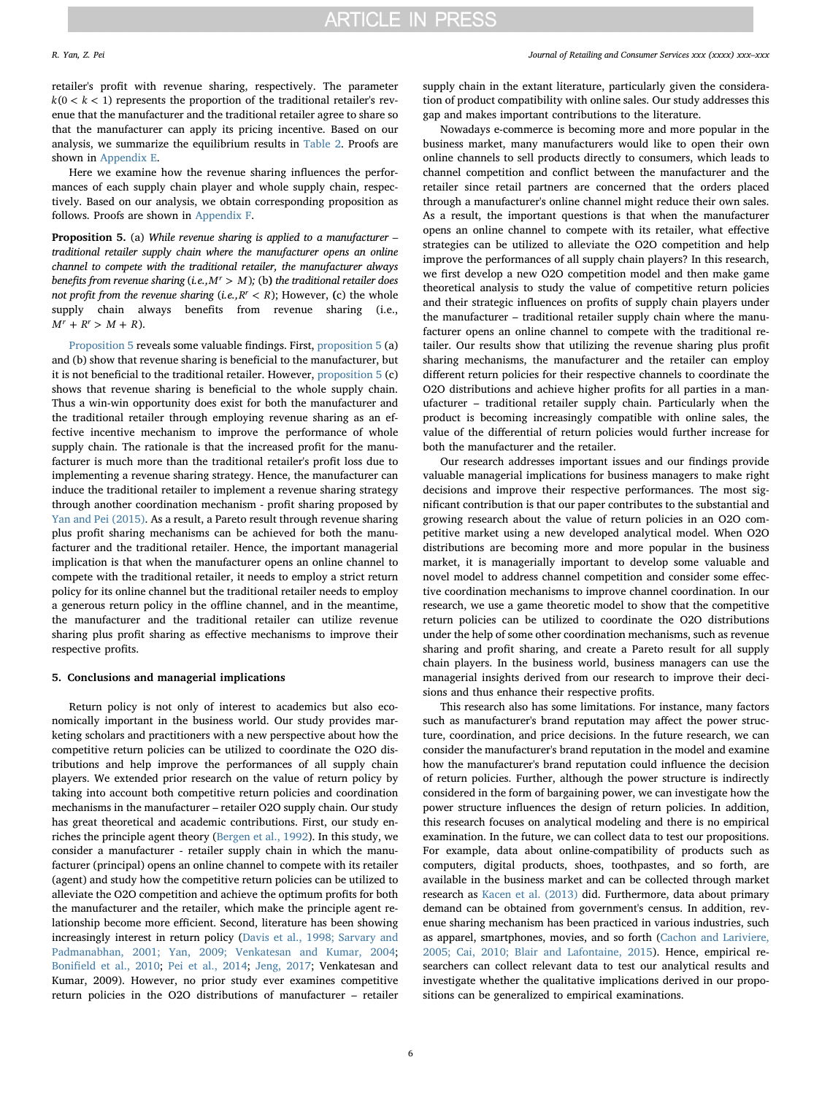R. Yan, Z. Pei *Journal of Retailing and Consumer Services xxx (xxxx) xxx–xxx*

retailer's profit with revenue sharing, respectively. The parameter  $k(0 < k < 1)$  represents the proportion of the traditional retailer's revenue that the manufacturer and the traditional retailer agree to share so that the manufacturer can apply its pricing incentive. Based on our analysis, we summarize the equilibrium results in [Table 2](#page-4-1). Proofs are shown in [Appendix E.](#page-6-4)

Here we examine how the revenue sharing influences the performances of each supply chain player and whole supply chain, respectively. Based on our analysis, we obtain corresponding proposition as follows. Proofs are shown in [Appendix F](#page-6-5).

<span id="page-5-1"></span>**Proposition 5.** (a) While revenue sharing is applied to a manufacturer  $$ traditional retailer supply chain where the manufacturer opens an online channel to compete with the traditional retailer, the manufacturer always benefits from revenue sharing (i.e., $M^r > M$ ); (b) the traditional retailer does not profit from the revenue sharing (i.e., $R^r < R$ ); However, (c) the whole supply chain always benefits from revenue sharing (i.e.,  $M^r + R^r > M + R$ .

[Proposition 5](#page-5-1) reveals some valuable findings. First, [proposition 5](#page-5-1) (a) and (b) show that revenue sharing is beneficial to the manufacturer, but it is not beneficial to the traditional retailer. However, [proposition 5](#page-5-1) (c) shows that revenue sharing is beneficial to the whole supply chain. Thus a win-win opportunity does exist for both the manufacturer and the traditional retailer through employing revenue sharing as an effective incentive mechanism to improve the performance of whole supply chain. The rationale is that the increased profit for the manufacturer is much more than the traditional retailer's profit loss due to implementing a revenue sharing strategy. Hence, the manufacturer can induce the traditional retailer to implement a revenue sharing strategy through another coordination mechanism - profit sharing proposed by [Yan and Pei \(2015\)](#page-7-6). As a result, a Pareto result through revenue sharing plus profit sharing mechanisms can be achieved for both the manufacturer and the traditional retailer. Hence, the important managerial implication is that when the manufacturer opens an online channel to compete with the traditional retailer, it needs to employ a strict return policy for its online channel but the traditional retailer needs to employ a generous return policy in the offline channel, and in the meantime, the manufacturer and the traditional retailer can utilize revenue sharing plus profit sharing as effective mechanisms to improve their respective profits.

#### <span id="page-5-0"></span>5. Conclusions and managerial implications

Return policy is not only of interest to academics but also economically important in the business world. Our study provides marketing scholars and practitioners with a new perspective about how the competitive return policies can be utilized to coordinate the O2O distributions and help improve the performances of all supply chain players. We extended prior research on the value of return policy by taking into account both competitive return policies and coordination mechanisms in the manufacturer – retailer O2O supply chain. Our study has great theoretical and academic contributions. First, our study enriches the principle agent theory [\(Bergen et al., 1992](#page-7-37)). In this study, we consider a manufacturer - retailer supply chain in which the manufacturer (principal) opens an online channel to compete with its retailer (agent) and study how the competitive return policies can be utilized to alleviate the O2O competition and achieve the optimum profits for both the manufacturer and the retailer, which make the principle agent relationship become more efficient. Second, literature has been showing increasingly interest in return policy ([Davis et al., 1998; Sarvary and](#page-7-18) [Padmanabhan, 2001; Yan, 2009; Venkatesan and Kumar, 2004](#page-7-18); Bonifi[eld et al., 2010;](#page-7-22) [Pei et al., 2014](#page-7-23); [Jeng, 2017;](#page-7-24) Venkatesan and Kumar, 2009). However, no prior study ever examines competitive return policies in the O2O distributions of manufacturer – retailer

supply chain in the extant literature, particularly given the consideration of product compatibility with online sales. Our study addresses this gap and makes important contributions to the literature.

Nowadays e-commerce is becoming more and more popular in the business market, many manufacturers would like to open their own online channels to sell products directly to consumers, which leads to channel competition and conflict between the manufacturer and the retailer since retail partners are concerned that the orders placed through a manufacturer's online channel might reduce their own sales. As a result, the important questions is that when the manufacturer opens an online channel to compete with its retailer, what effective strategies can be utilized to alleviate the O2O competition and help improve the performances of all supply chain players? In this research, we first develop a new O2O competition model and then make game theoretical analysis to study the value of competitive return policies and their strategic influences on profits of supply chain players under the manufacturer – traditional retailer supply chain where the manufacturer opens an online channel to compete with the traditional retailer. Our results show that utilizing the revenue sharing plus profit sharing mechanisms, the manufacturer and the retailer can employ different return policies for their respective channels to coordinate the O2O distributions and achieve higher profits for all parties in a manufacturer – traditional retailer supply chain. Particularly when the product is becoming increasingly compatible with online sales, the value of the differential of return policies would further increase for both the manufacturer and the retailer.

Our research addresses important issues and our findings provide valuable managerial implications for business managers to make right decisions and improve their respective performances. The most significant contribution is that our paper contributes to the substantial and growing research about the value of return policies in an O2O competitive market using a new developed analytical model. When O2O distributions are becoming more and more popular in the business market, it is managerially important to develop some valuable and novel model to address channel competition and consider some effective coordination mechanisms to improve channel coordination. In our research, we use a game theoretic model to show that the competitive return policies can be utilized to coordinate the O2O distributions under the help of some other coordination mechanisms, such as revenue sharing and profit sharing, and create a Pareto result for all supply chain players. In the business world, business managers can use the managerial insights derived from our research to improve their decisions and thus enhance their respective profits.

This research also has some limitations. For instance, many factors such as manufacturer's brand reputation may affect the power structure, coordination, and price decisions. In the future research, we can consider the manufacturer's brand reputation in the model and examine how the manufacturer's brand reputation could influence the decision of return policies. Further, although the power structure is indirectly considered in the form of bargaining power, we can investigate how the power structure influences the design of return policies. In addition, this research focuses on analytical modeling and there is no empirical examination. In the future, we can collect data to test our propositions. For example, data about online-compatibility of products such as computers, digital products, shoes, toothpastes, and so forth, are available in the business market and can be collected through market research as [Kacen et al. \(2013\)](#page-7-34) did. Furthermore, data about primary demand can be obtained from government's census. In addition, revenue sharing mechanism has been practiced in various industries, such as apparel, smartphones, movies, and so forth ([Cachon and Lariviere,](#page-7-35) [2005; Cai, 2010; Blair and Lafontaine, 2015\)](#page-7-35). Hence, empirical researchers can collect relevant data to test our analytical results and investigate whether the qualitative implications derived in our propositions can be generalized to empirical examinations.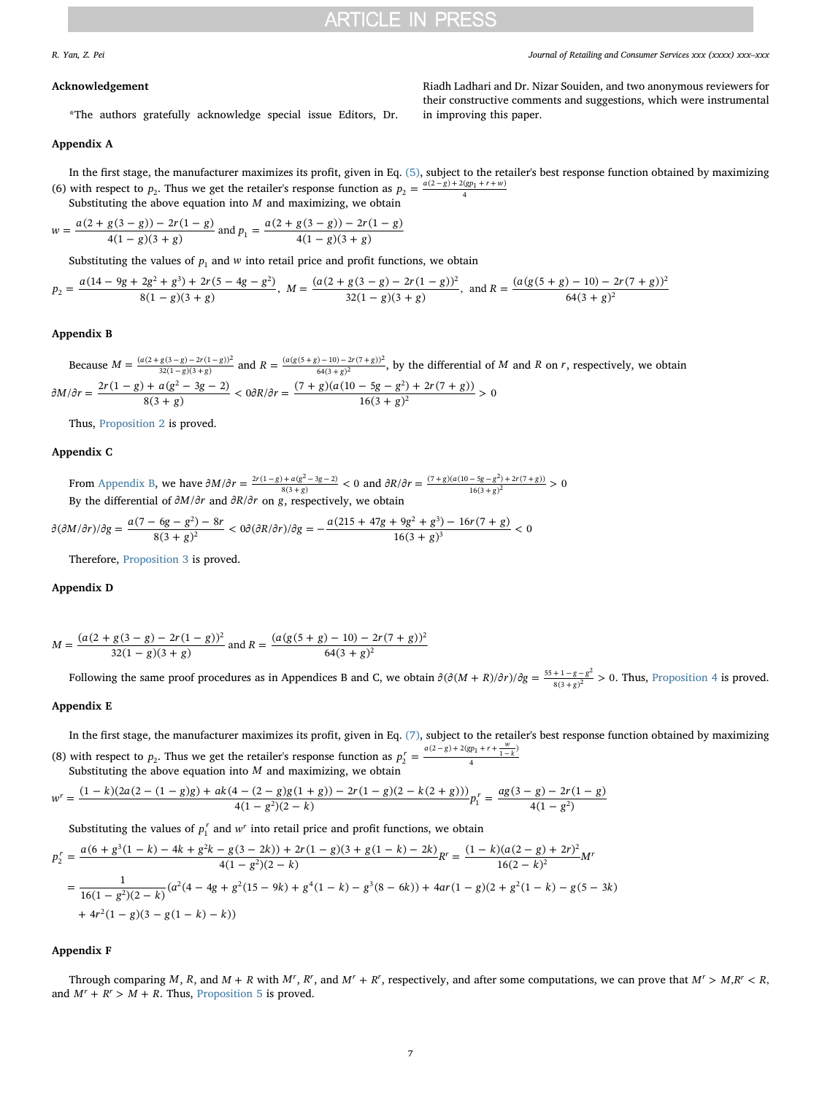# **ARTICLE IN PRESS**

#### Acknowledgement

\*The authors gratefully acknowledge special issue Editors, Dr.

### <span id="page-6-0"></span>Appendix A

R. Yan, Z. Pei *Journal of Retailing and Consumer Services xxx (xxxx) xxx–xxx*

Riadh Ladhari and Dr. Nizar Souiden, and two anonymous reviewers for their constructive comments and suggestions, which were instrumental in improving this paper.

In the first stage, the manufacturer maximizes its profit, given in Eq. [\(5\)](#page-3-4), subject to the retailer's best response function obtained by maximizing (6) with respect to  $p_2$ . Thus we get the retailer's response function as  $p_2 = \frac{a(2-g) + 2(gp_1 + r + w)}{4}$  $\frac{8p_1}{4}$ 

$$
w = \frac{a(2+g(3-g)) - 2r(1-g)}{4(1-g)(3+g)} \text{ and } p_1 = \frac{a(2+g(3-g)) - 2r(1-g)}{4(1-g)(3+g)}
$$

Substituting the above equation into *M* and maximizing, we obtain

Substituting the values of  $p_1$  and  $w$  into retail price and profit functions, we obtain

$$
p_2 = \frac{a(14 - 9g + 2g^2 + g^3) + 2r(5 - 4g - g^2)}{8(1 - g)(3 + g)}, \ M = \frac{(a(2 + g(3 - g) - 2r(1 - g))^2}{32(1 - g)(3 + g)}, \text{ and } R = \frac{(a(g(5 + g) - 10) - 2r(7 + g))^2}{64(3 + g)^2}
$$

# <span id="page-6-1"></span>Appendix B

Because  $M = \frac{(a(2+g(3-g)-2r(1-g))}{32(1-g)(3+g)}$  $32(1-g)(3+g)$  $\frac{2}{x}$  and  $R = \frac{(a(g(5+g)-10)-2r(7+g))}{64(3+g)^2}$  $(a (g (5 + g) - 10) - 2r (7 + g))$  $64(3 + g)$  $\frac{(2r(7+g))^2}{2}$ , by the differential of *M* and *R* on *r*, respectively, we obtain  $\partial M/\partial r = \frac{2r(1-g) + a(g^2 - 3g - 2)}{8(3 + g)} < \partial \partial R/\partial r = \frac{(7 + g)(a(10 - 5g - g^2) + 2r(7 + g))}{16(3 + g)^2} > 0$ 2

Thus, [Proposition 2](#page-3-2) is proved.

# <span id="page-6-2"></span>Appendix C

From [Appendix B](#page-6-1), we have  $\partial M/\partial r = \frac{2r(1-g) + a(g^2 - 3g - 2)}{8(3+g)} < 0$  $8(3 + g)$  $\frac{(2-3g-2)}{g}$  < 0 and  $\frac{\partial R}{\partial r} = \frac{(7+g)(a(10-5g-g^2)+2r(7+g))}{16(3+g)^2} > 0$  $(7+g)(a(10-5g-g^2)+2r(7+g))$  $16(3 + g)$ 2  $\mathbf{r}$ By the differential of  $\partial M/\partial r$  and  $\partial R/\partial r$  on *g*, respectively, we obtain

$$
\partial(\partial M/\partial r)/\partial g = \frac{a(7 - 6g - g^2) - 8r}{8(3 + g)^2} < 0 \partial(\partial R/\partial r)/\partial g = -\frac{a(215 + 47g + 9g^2 + g^3) - 16r(7 + g)}{16(3 + g)^3} < 0
$$

Therefore, [Proposition 3](#page-3-3) is proved.

### <span id="page-6-3"></span>Appendix D

$$
M = \frac{(a(2+g(3-g)-2r(1-g))^2}{32(1-g)(3+g)} \text{ and } R = \frac{(a(g(5+g)-10)-2r(7+g))^2}{64(3+g)^2}
$$

Following the same proof procedures as in Appendices B and C, we obtain  $\partial(\partial(M+R)/\partial r)/\partial g = \frac{55+1-g-g^2}{8(3+g)^2} > 0$  $55 + 1$  $8(3 + g)$  $\frac{-g^2}{r^2} > 0$ . Thus, [Proposition 4](#page-4-0) is proved.

# <span id="page-6-4"></span>Appendix E

In the first stage, the manufacturer maximizes its profit, given in Eq. [\(7\)](#page-4-2), subject to the retailer's best response function obtained by maximizing (8) with respect to  $p_2$ . Thus we get the retailer's response function as  $p_2^r = \frac{a(2-g) + 2(gp_1 + r + \frac{n}{1 - 1})}{4}$  $(2 - g) + 2(g p_1 + r + \frac{w_1}{1 - k})$ 4  $v_1 + r + \frac{w}{1 - k}$ 

Substituting the above equation into *M* and maximizing, we obtain

$$
w^{r} = \frac{(1-k)(2a(2-(1-g)g) + ak(4-(2-g)g(1+g)) - 2r(1-g)(2-k(2+g)))}{4(1-g^{2})(2-k)}p_{1}^{r} = \frac{ag(3-g) - 2r(1-g)}{4(1-g^{2})}
$$

Substituting the values of  $p_1^r$  and  $w^r$  into retail price and profit functions, we obtain

$$
p_2^r = \frac{a(6+g^3(1-k)-4k+g^2k-g(3-2k))+2r(1-g)(3+g(1-k)-2k)}{4(1-g^2)(2-k)}R^r = \frac{(1-k)(a(2-g)+2r)^2}{16(2-k)^2}M^r
$$
  
= 
$$
\frac{1}{16(1-g^2)(2-k)}(a^2(4-4g+g^2(15-9k)+g^4(1-k)-g^3(8-6k))+4ar(1-g)(2+g^2(1-k)-g(5-3k)) + 4r^2(1-g)(3-g(1-k)-k))
$$

### <span id="page-6-5"></span>Appendix F

Through comparing M, R, and M + R with M', R', and M' + R', respectively, and after some computations, we can prove that  $M' > M$ , R' < R, and  $M^r + R^r > M + R$ . Thus, [Proposition 5](#page-5-1) is proved.